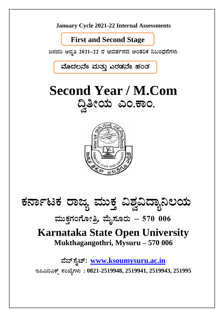

## **First and Second Stage**

ಜನವರಿ ಆವೃತಿ 2021–22 ರ ಆವರ್ತನದ ಆಂತರಿಕ ನಿಬಂಧನೆಗಳು

ಮೊದಲನೇ ಮತ್ತು ಎರಡನೇ ಹಂತ

# **Second Year / M.Com** ದ್ವಿತೀಯ ಎಂ.ಕಾಂ.



# ಕರ್ನಾಟಕ ರಾಜ್ಯ ಮುಕ್ತ ವಿಶ್ವವಿದ್ಯಾನಿಲಯ

# ಮುಕ್ತಗಂಗೋತ್ರಿ, ಮೈಸೂರು – 570 006

## **Karnataka State Open University** Mukthagangothri, Mysuru - 570 006

ವೆಬ್ಸ್ಟೆಟ್: www.ksoumysuru.ac.in ಇಪಿಎಬಿಎಕ್ಸ್ ಸಂಖ್ಯೆಗಳು: 0821-2519948, 2519941, 2519943, 251995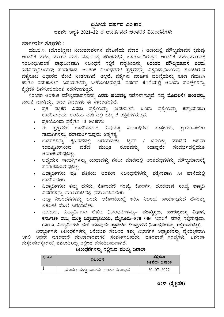### ದ್ವಿತೀಯ ವರ್ಷದ ಎಂ.ಕಾಂ.

### ಜನವರಿ ಆವೃತಿ 2021–22 ರ ಆವರ್ತನದ ಆಂತರಿಕ ನಿಬಂಧನೆಗಳು

#### ಮಾರ್ಗದರ್ಶಿ ಸೂತ್ರಗಳು :

ಯು.ಜಿ.ಸಿ. (ದೂರಶಿಕ್ಷಣ) ನಿಯಮಾವಳಿಗಳ ಪ್ರಕಟಣೆಯ ಪ್ರಕಾರ / ಅಡಿಯಲ್ಲಿ ಮೌಲ್ಯಮಾಪನ ಕ್ರಮವು ಆಂತರಿಕ ಮೌಲ್ಯ ಮಾಪನ ಮತ್ತು ವರ್ಷಾಂತ್ಯ ಪರೀಕ್ಷೆಗಳನ್ನು ಒಳಗೊಂಡಿರುತ್ತದೆ. ಆಂತರಿಕ ಮೌಲ್ಯಮಾಪನಕ್ಕೆ ಸಂಬಂಧಿಸಿದಂತೆ ಪ್ರಾಥಮಿಕವಾಗಿ ನಿಬಂಧನೆ ಸಲ್ಲಿಕೆ ಪದ್ಧತಿಯನ್ನು <u>ನಿರಂತರ ಮೌಲ್ಯಮಾಪನ ಎಂದ</u>ು ವಿಶ್ವವಿದ್ಯಾನಿಲಯವು ಪರಿಗಣಿಸಿದೆ. ಆಂತರಿಕ ನಿಬಂಧನೆಗಳ ಪ್ರಶ್ನೆಗಳನ್ನು ವಿಶ್ವವಿದ್ಯಾನಿಲಯವು ಸೂಚಿಸಿರುವ ಪಠ್ಯಸೂಚೆ ಆಧಾರದ ಮೇಲೆ ನೀಡಲಾಗಿದೆ. ಅಲ್ಲದೆ, ಪ್ರಶ್ನೆಗಳು ವಾರ್ಷಿಕ ಪರೀಕ್ಷೆಯನ್ನು ಕೂಡ ಗಮನಿಸಿ ಹಾಗೂ ಸಮಕಾಲೀನ ವಿಷಯಗಳನ್ನು ಒಳಗೊಂಡಿರುತ್ತದೆ. ವರ್ಷದ ಕೊನೆಯಲ್ಲಿ ಅಂತಿಮ ಪರೀಕ್ಷೆಗಳನ್ನು ಶೈಕ್ಷಣಿಕ ದಿನಸೂಚಿಯಂತೆ ನಡೆಸಲಾಗುತದೆ.

.<br>ನಿರಂತರ ಆಂತರಿಕ ಮೌಲ್ಯಮಾಪನವನ್ನು **ಎರಡು ಹಂತದಲ್ಲಿ** ನಡೆಸಲಾಗುತ್ತದೆ. ಸದ್ಯ **ಮೊದಲನೇ ಹಂತವನ್ನು** ಚಾಲನೆ ಮಾಡಿದ್ದು, ಅದರ ವಿವರಗಳು ಈ ಕೆಳಕಂಡಂತಿದೆ.

- ಪ್ರತಿ ಪತ್ರಿಕೆಗೆ <u>ಎರಡು</u> ಪ್ರಶ್ನೆಯನ್ನು ನೀಡಲಾಗಿದೆ. ಒಂದು ಪ್ರಶ್ನೆಯನ್ನು ಕಡ್ಡಾಯವಾಗಿ ಉತ್ತರಿಸುವುದು. ಅಂತಿಮ ವರ್ಷದಲ್ಲಿ ಒಟ್ಟು 5 ಪತ್ರಿಕೆಗಳಿರುತ್ತವೆ.
- ಪ್ರತಿಯೊಂದು ಪ್ರಶ್ನೆಗೂ 10 ಅಂಕಗಳು
- ಈ ಪ್ರಶ್ನೆಗಳಿಗೆ ಉತ್ತರಿಸುವಾಗ ವಿಷಯಕ್ಕೆ ಸಂಬಂಧಿಸಿದ ಮಸ್ತಕಗಳು, ಸ್ವಯಂ–ಕಲಿಕಾ ಸಾಮಗ್ರಿಗಳನ್ನು ಪರಾಮರ್ಶಿಸುವುದು ಅತ್ಯಗತ್ಯ.
- ಉತ್ತರಗಳನ್ನು ಕೈಬರಹದಲ್ಲಿ ಬರೆಯಬೇಕು. ಟೈಪ್ / ಬೆರಳಚ್ಚು ಮಾಡಿದ ಅಥವಾ ಕಂಪ್ಯೂಟರ್ನಿಂದ ಪಡೆದ ಮುದ್ರಿತ ರೂಪವನ್ನು ಯಾವುದೇ ಸಂದರ್ಭದಲ್ಲಿಯೂ ಅಂಗೀಕರಿಸುವುದಿಲ್ಲ.
- ಅಧ್ಯಯನ ಸಾಮಗ್ರಿಗಳನ್ನು ಯಥಾವತ್ತು ನಕಲು ಮಾಡಿದಲ್ಲಿ ಅಂತಹವುಗಳನ್ನು ಮೌಲ್ಯಮಾಪನಕ್ಕೆ ಪರಿಗಣಿಸಲಾಗುವುದಿಲ್ಲ.
- ವಿದ್ಯಾರ್ಥಿಗಳು ಪ್ರತಿ ಪತ್ರಿಕೆಯ ಆಂತರಿಕ ನಿಬಂಧನೆಗಳನ್ನು ಪ್ರತ್ಯೇಕವಾಗಿ A4 ಹಾಳೆಯಲ್ಲಿ ಉತ್ತರಿಸಬೇಕು.
- ವಿದ್ಯಾರ್ಥಿಗಳು ತಮ್ಮ ಹೆಸರು, ನೋಂದಣಿ ಸಂಖ್ಯೆ, ಕೋರ್ಸ್, ದೂರವಾಣಿ ಸಂಖ್ಯೆ ಇತ್ಯಾದಿ ವಿವರಗಳನ್ನು ಮುಖಮಟದಲ್ಲಿ ನಮೂದಿಸಿರಬೇಕು.
- ಎಲ್ಲಾ ನಿಬಂಧನೆಗಳನ್ನು ಒಂದು ಲಕೋಟೆಯಲ್ಲಿ ಇರಿಸಿ ನಿಬಂಧ, ಕಾರ್ಯಕ್ರಮದ ಹೆಸರನ್ನು ಲಕೋಟೆ ಮೇಲೆ ಬರೆಯಬೇಕು.
- ಎಂ.ಕಾಂ., ವಿದ್ಯಾರ್ಥಿಗಳು ಲಿಖಿತ ನಿಬಂಧನೆಗಳನ್ನು– ಮುಖ್ಯಸ್ಥರು, ವಾಣಿಜ್ಯಶಾಸ್ತ್ರ ವಿಭಾಗ, ಕರ್ನಾಟಕ ರಾಜ್ಯ ಮುಕ್ತ ವಿಶ್ವವಿದ್ಯಾನಿಲಯ, ಮೈಸೂರು–570 006 ಇವರಿಗೆ ಮಾತ್ರ ಸಲ್ಲಿಸುವುದು. (ಎಂ.ಎ. ವಿದ್ಯಾರ್ಥಿಗಳು ಬೇರೆ ಯಾವುದೇ ಪ್ರಾದೇಶಿಕ ಕೇಂದ್ರಗಳಿಗೆ ನಿಬಂಧನೆಗಳನ್ನು ಸಲ್ಲಿಸುವಂತಿಲ್ಲ).

ವಿದ್ಯಾರ್ಥಿಗಳು ನಿಬಂಧನೆಗಳನ್ನು ಬರೆಯುವ ಸಂಬಂಧ ತಮ್ಮ ವಿಭಾಗಗಳ ಅಧ್ಯಾಪಕರನ್ನು ವೈಯಕ್ತಿಕವಾಗಿ ಆಗಲಿ ಅಥವಾ ದೂರವಾಣಿ ಮುಖಾಂತರವಾಗಲಿ ಸಂಪರ್ಕಿಸಬಹುದು. ದೂರವಾಣಿ ಸಂಖ್ಯೆಗಳು, ವಿವರಣಾ ಮಸ್ತಕ/ವೆಬ್ ಸೈಟ್ ನಲ್ಲಿ ನಮೂದಿಸಿದ್ದು ಅಲ್ಲಿಂದ ಪಡೆಯಬಹುದಾಗಿದೆ.

#### <u>ನಿಬಂಧನೆಗಳನ್ನು ಸಲ್ಲಿಸುವ ಮುಖ್ಯ ದಿನಾಂಕ</u>

| ಕ್ಕ ಸಂ. | ನಿಬಂಧನೆ                       | ಸಲ್ಲಿಸಲು<br>ಕೊನೆಯ ದಿನಾಂಕ |
|---------|-------------------------------|--------------------------|
|         | ಮೊದಲ ಮತ್ತು ಎರಡನೇ ಹಂತದ ನಿಬಂಧನೆ | $30 - 07 - 2022$         |

#### ಡೀನ್ (ಶೈಕ್ಷಣಿಕ)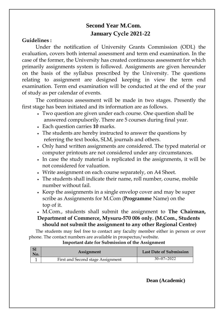### **Second Year M.Com. January Cycle 2021-22**

#### **Guidelines :**

Under the notification of University Grants Commission (ODL) the evaluation, covers both internal assessment and term end examination. In the case of the former, the University has created continuous assessment for which primarily assignments system is followed. Assignments are given hereunder on the basis of the syllabus prescribed by the University. The questions relating to assignment are designed keeping in view the term end examination. Term end examination will be conducted at the end of the year of study as per calendar of events.

The continuous assessment will be made in two stages. Presently the first stage has been initiated and its information are as follows.

- Two question are given under each course. One question shall be answered compulsorily. There are 5 courses during final year.
- Each question carries **10** marks.
- The students are hereby instructed to answer the questions by referring the text books, SLM, journals and others.
- Only hand written assignments are considered. The typed material or computer printouts are not considered under any circumstances.
- In case the study material is replicated in the assignments, it will be not considered for valuation.
- Write assignment on each course separately, on A4 Sheet.
- The students shall indicate their name, roll number, course, mobile number without fail.
- Keep the assignments in a single envelop cover and may be super scribe as Assignments for M.Com (**Programme** Name) on the top of it.

 M.Com., students shall submit the assignment to **The Chairman, Department of Commerce, Mysuru-570 006 only. (M.Com., Students should not submit the assignment to any other Regional Centre)**

The students may feel free to contact any faculty member either in person or over phone. The contact numbers are available in prospectus/website.

#### **Important date for Submission of the Assignment**

| S1<br>No. | <b>Assignment</b>                 | <b>Last Date of Submission</b> |
|-----------|-----------------------------------|--------------------------------|
|           | First and Second stage Assignment | $30 - 07 - 2022$               |

 **Dean (Academic)**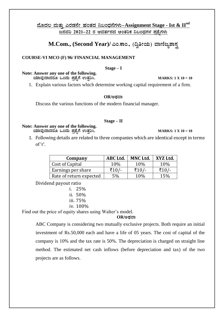#### <u>ಹೊದಲ ಮತ್ತು ಎರಡನೇ ಹಂತದ ನಿಬಂಧನೆಗಳು–Assignment Stage - Ist & II<sup>nd</sup></u> **d£ÀªÀj 2021-22 gÀ DªÀvÀð£ÀzÀ DAvÀjPÀ ¤§AzsÀUÀ¼À ¥Àæ±ÉßUÀ¼ÀÄ**

 $M. Com., (Second Year) /$  ಎಂ.ಕಾಂ., (ದ್ವಿತೀಯ) ವಾಣಿಜ್ಯಶಾಸ್ತ್ರ

#### **COURSE-VI MCO (F) 96/ FINANCIAL MANAGEMENT**

#### **Stage – I**

**Note: Answer any one of the following. AiÀiÁªÀÅzÁzÀgÀÆ MAzÀÄ ¥Àæ±ÉßUÉ GvÀÛj¹. MARKS: 1 X 10 = 10**

1. Explain various factors which determine working capital requirement of a firm.

#### $OR$ */*ಅಥವಾ

Discuss the various functions of the modern financial manager.

#### **Stage – II**

**Note: Answer any one of the following. AiÀiÁªÀÅzÁzÀgÀÆ MAzÀÄ ¥Àæ±ÉßUÉ GvÀÛj¹. MARKS: 1 X 10 = 10**

1. Following details are related to three companies which are identical except in terms of 'r'.

| Company                 | ABC Ltd. | MNC Ltd. | XYZ Ltd. |
|-------------------------|----------|----------|----------|
| Cost of Capital         | 10%      | 10%      | 10%      |
| Earnings per share      | 71 N Z   | ₹10 /-   |          |
| Rate of return expected | 5%       | 10\%     | 15%      |

Dividend payout ratio

| 1.  | 25%      |
|-----|----------|
| 11. | 50%      |
|     | iii. 75% |
|     |          |

iv. 100%

Find out the price of equity shares using Walter's model.

#### $OR$ /ಅಡವಾ

ABC Company is considering two mutually exclusive projects. Both require an initial investment of Rs.50,000 each and have a life of 05 years. The cost of capital of the company is 10% and the tax rate is 50%. The depreciation is charged on straight line method. The estimated net cash inflows (before depreciation and tax) of the two projects are as follows.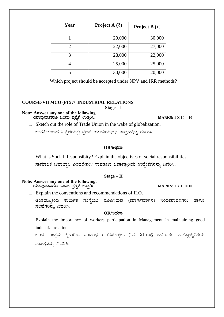| Year                  | <b>Project</b> A $(\overline{\xi})$ | Project B $(\bar{\zeta})$ |
|-----------------------|-------------------------------------|---------------------------|
|                       | 20,000                              | 30,000                    |
| $\mathcal{D}_{\cdot}$ | 22,000                              | 27,000                    |
| 3                     | 28,000                              | 22,000                    |
|                       | 25,000                              | 25,000                    |
|                       | 30,000                              | 20,000                    |

Which project should be accepted under NPV and IRR methods?

#### **COURSE-VII MCO (F) 97/ INDUSTRIAL RELATIONS**

**Stage – I**

#### **Note: Answer any one of the following.**  $\omega$ ವಾದೆ ಸಂದು ಪ್ರಶೈಗೆ ಉತ್ತರಿಸಿ. ತಮಾರಾಯಣ ಮಾಡುವ MARKS: 1 X 10 = 10

1. Sketch out the role of Trade Union in the wake of globalization.

ಜಾಗತೀಕರಣದ ಹಿನ್ನೆಲೆಯಲ್ಲಿ ಟ್ರೇಡ್ ಯೂನಿಯನ್ ಪಾತ್ರಗಳನ್ನು ರೂಪಿಸಿ.

#### $OR$ /ಅಥವಾ

What is Social Responsibity? Explain the objectives of social responsibilities.

ಸಾಮಾಜಿಕ ಜವಾಬ್ದಾರಿ ಎಂದರೇನು? ಸಾಮಾಜಿಕ ಜವಾಬ್ದಾರಿಯ ಉದ್ದೇಶಗಳನ್ನು ವಿವರಿಸಿ.

#### **Stage – II**

**Note: Answer any one of the following. AiÀiÁªÀÅzÁzÀgÀÆ MAzÀÄ ¥Àæ±ÉßUÉ GvÀÛj¹. MARKS: 1 X 10 = 10**

.

1. Explain the conventions and recommendations of ILO.

ಅಂತರಾಷ್ನೀಯ ಕಾರ್ಮಿಕ ಸಂಸ್ಥೆಯು ರೂಪಿಸಿರುವ (ಮಾರ್ಗದರ್ಶನ) ನಿಯಮಾವಳಿಗಳು ಹಾಗೂ ಸಲಹೆಗಳನ್ನು ವಿವರಿಸಿ.

#### $OR$ /ಅಥವಾ

Explain the importance of workers participation in Management in maintaining good industrial relation.

ಒಂದು ಉತ್ತಮ ಕೈಗಾರಿಕಾ ಸಂಬಂಧ ಉಳಿಸಿಕೊಳ್ಳಲು ನಿರ್ವಹಣೆಯಲ್ಲಿ ಕಾರ್ಮಿಕರ ಪಾಲ್ಗೊಳ್ಳುವಿಕೆಯ ಮಹತ್ವವನ್ನು ವಿವರಿಸಿ.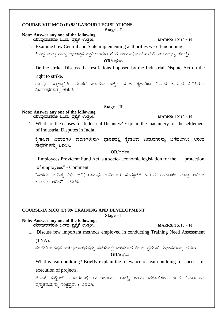#### **COURSE-VIII MCO (F) 98/ LABOUR LEGISLATIONS**

**Stage – I**

#### **Note: Answer any one of the following.**

 **AiÀiÁªÀÅzÁzÀgÀÆ MAzÀÄ ¥Àæ±ÉßUÉ GvÀÛj¹. MARKS: 1 X 10 = 10**

1. Examine how Central and State implementing authorities were functioning.

ಕೇಂದ್ರ ಮತ್ತು ರಾಜ್ಯ ಅನುಷ್ಠಾನ ಪ್ರಾಧಿಕಾರಗಳು ಹೇಗೆ ಕಾರ್ಯನಿರ್ವಹಿಸುತ್ತಿವೆ ಎಂಬುದನ್ನು ಪರೀಕ್ಷಿಸಿ.

#### **OR/CxÀªÁ**

Define strike. Discuss the restrictions imposed by the Industrial Dispute Act on the

right to strike.

ಮುಷ್ತರ ವ್ಯಾಖ್ಯಾನಿಸಿ. ಮುಷ್ತರ ಹೂಡುವ ಹಕ್ಕಿನ ಮೇಲೆ ಕೈಗಾರಿಕಾ ವಿವಾದ ಕಾಯಿದೆ ವಿಧಿಸಿರುವ ನಿರ್ಬಂಧಗಳನ್ನು ಚರ್ಚಿಸಿ.

#### **Stage – II**

#### **Note: Answer any one of the following. AiÀiÁªÀÅzÁzÀgÀÆ MAzÀÄ ¥Àæ±ÉßUÉ GvÀÛj¹. MARKS: 1 X 10 = 10**

1. What are the causes for Industrial Disputes? Explain the machinery for the settlement of Industrial Disputes in India.

ಕೈಗಾರಿಕಾ ವಿವಾದಗಳ ಕಾರಣಗಳೇನು? ಭಾರತದಲ್ಲಿ ಕೈಗಾರಿಕಾ ವಿವಾದಗಳನ್ನು ಬಗೆಹರಿಸಲು ಇರುವ ಸಾಧನಗಳನ್ನು ವಿವರಿಸಿ.

#### **OR/CxÀªÁ**

"Employees Provident Fund Act is a socio- economic legislation for the protection

of employees" - Comment.

"ನೌಕರರ ಭವಿಷ್ಣ ನಿಧಿ ಅಧಿನಿಯಮವು ಕಾರ್ಮಿಕರ ಸಂರಕ್ಷಣೆಗೆ ಇರುವ ಸಾಮಾಜಿಕ ಮತ್ತು ಆರ್ಥಿಕ ಕಾನೂನು ಆಗಿದೆ" - ಟೀಕಿಸಿ.

#### **COURSE-IX MCO (F) 99/ TRAINING AND DEVELOPMENT**

**Stage – I**

#### **Note: Answer any one of the following.**

 **AiÀiÁªÀÅzÁzÀgÀÆ MAzÀÄ ¥Àæ±ÉßUÉ GvÀÛj¹. MARKS: 1 X 10 = 10**

1. Discuss few important methods employed in conducting Training Need Assessment

(TNA).

ತರಬೇತಿ ಅಗತ್ಯತೆ ಮೌಲ್ಯಮಾಪನವನ್ನು ನಡೆಸುವಲ್ಲಿ ಬಳಸಲಾದ ಕೆಲವು ಪ್ರಮುಖ ವಿಧಾನಗಳನ್ನು ಚರ್ಚಿಸಿ.  $OR$ /ಅಡವಾ

What is team building? Briefly explain the relevance of team building for successful execution of projects.

ಟೀಮ್ ಬಿಲ್ಗಿಂಗ್ ಎಂದರೇನು? ಯೋಜನೆಯ ಯಶಸ್ರಿ ಕಾರ್ಯಗತಗೊಳಿಸಲು ತಂಡ ನಿರ್ಮಾಣದ ಪ್ರಸ್ತುತತೆಯನ್ನು ಸಂಕ್ಷಿಪ್ತವಾಗಿ ವಿವರಿಸಿ.